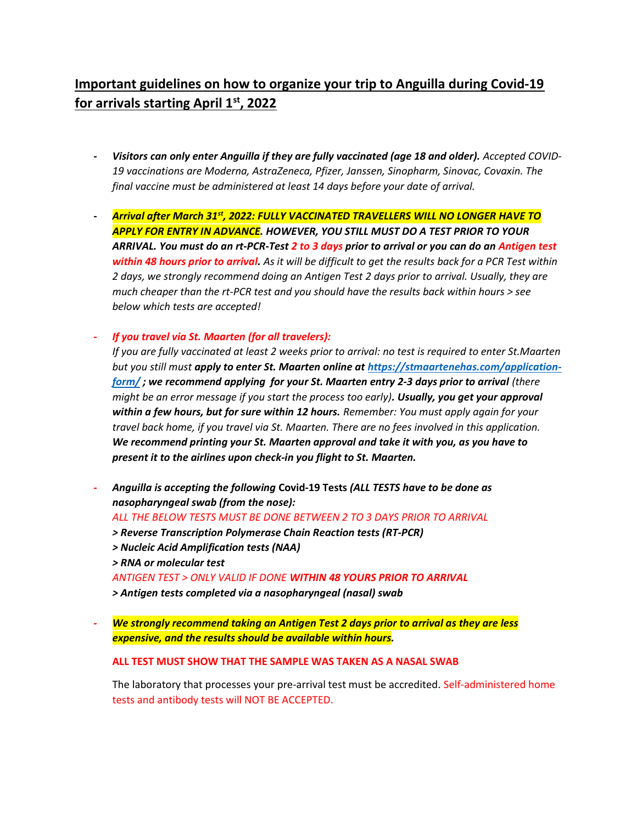## Important guidelines on how to organize your trip to Anguilla during Covid-19 for arrivals starting April  $1<sup>st</sup>$ , 2022

- Visitors can only enter Anguilla if they are fully vaccinated (age 18 and older). Accepted COVID-19 vaccinations are Moderna, AstraZeneca, Pfizer, Janssen, Sinopharm, Sinovac, Covaxin. The final vaccine must be administered at least 14 days before your date of arrival.
- Arrival after March 31st, 2022: FULLY VACCINATED TRAVELLERS WILL NO LONGER HAVE TO APPLY FOR ENTRY IN ADVANCE. HOWEVER, YOU STILL MUST DO A TEST PRIOR TO YOUR ARRIVAL. You must do an rt-PCR-Test 2 to 3 days prior to arrival or you can do an Antigen test within 48 hours prior to arrival. As it will be difficult to get the results back for a PCR Test within 2 days, we strongly recommend doing an Antigen Test 2 days prior to arrival. Usually, they are much cheaper than the rt-PCR test and you should have the results back within hours > see below which tests are accepted!

- If you travel via St. Maarten (for all travelers):

If you are fully vaccinated at least 2 weeks prior to arrival: no test is required to enter St.Maarten but you still must apply to enter St. Maarten online at https://stmaartenehas.com/applicationform/; we recommend applying for your St. Maarten entry 2-3 days prior to arrival (there might be an error message if you start the process too early). Usually, you get your approval within a few hours, but for sure within 12 hours. Remember: You must apply again for your travel back home, if you travel via St. Maarten. There are no fees involved in this application. We recommend printing your St. Maarten approval and take it with you, as you have to present it to the airlines upon check-in you flight to St. Maarten.

Anguilla is accepting the following Covid-19 Tests (ALL TESTS have to be done as nasopharyngeal swab (from the nose):

ALL THE BELOW TESTS MUST BE DONE BETWEEN 2 TO 3 DAYS PRIOR TO ARRIVAL

- > Reverse Transcription Polymerase Chain Reaction tests (RT-PCR)
- > Nucleic Acid Amplification tests (NAA)

> RNA or molecular test

ANTIGEN TEST > ONLY VALID IF DONE WITHIN 48 YOURS PRIOR TO ARRIVAL

> Antigen tests completed via a nasopharyngeal (nasal) swab

We strongly recommend taking an Antigen Test 2 days prior to arrival as they are less expensive, and the results should be available within hours.

## ALL TEST MUST SHOW THAT THE SAMPLE WAS TAKEN AS A NASAL SWAB

The laboratory that processes your pre-arrival test must be accredited. Self-administered home tests and antibody tests will NOT BE ACCEPTED.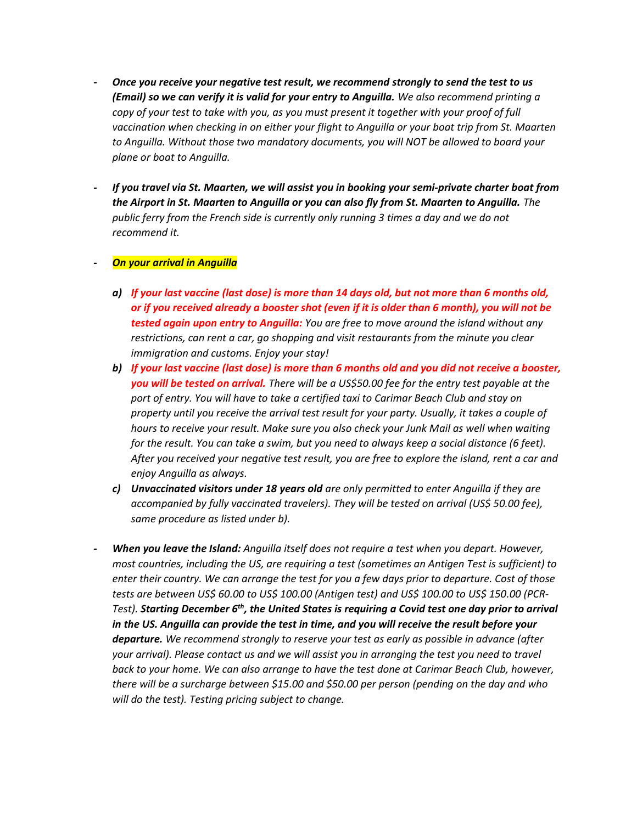- Once you receive your negative test result, we recommend strongly to send the test to us (Email) so we can verify it is valid for your entry to Anguilla. We also recommend printing a copy of your test to take with you, as you must present it together with your proof of full vaccination when checking in on either your flight to Anguilla or your boat trip from St. Maarten to Anguilla. Without those two mandatory documents, you will NOT be allowed to board your plane or boat to Anguilla.
- If you travel via St. Maarten, we will assist you in booking your semi-private charter boat from the Airport in St. Maarten to Anguilla or you can also fly from St. Maarten to Anguilla. The public ferry from the French side is currently only running 3 times a day and we do not recommend it.

## **On your arrival in Anguilla**

- a) If your last vaccine (last dose) is more than 14 days old, but not more than 6 months old, or if you received already a booster shot (even if it is older than 6 month), you will not be tested again upon entry to Anguilla: You are free to move around the island without any restrictions, can rent a car, go shopping and visit restaurants from the minute you clear immigration and customs. Enjoy your stay!
- b) If your last vaccine (last dose) is more than 6 months old and you did not receive a booster, you will be tested on arrival. There will be a US\$50.00 fee for the entry test payable at the port of entry. You will have to take a certified taxi to Carimar Beach Club and stay on property until you receive the arrival test result for your party. Usually, it takes a couple of hours to receive your result. Make sure you also check your Junk Mail as well when waiting for the result. You can take a swim, but you need to always keep a social distance (6 feet). After you received your negative test result, you are free to explore the island, rent a car and enjoy Anguilla as always.
- c) Unvaccinated visitors under 18 years old are only permitted to enter Anguilla if they are accompanied by fully vaccinated travelers). They will be tested on arrival (US\$ 50.00 fee), same procedure as listed under b).
- When you leave the Island: Anguilla itself does not require a test when you depart. However, most countries, including the US, are requiring a test (sometimes an Antigen Test is sufficient) to enter their country. We can arrange the test for you a few days prior to departure. Cost of those tests are between US\$ 60.00 to US\$ 100.00 (Antigen test) and US\$ 100.00 to US\$ 150.00 (PCR-Test). Starting December  $6<sup>th</sup>$ , the United States is requiring a Covid test one day prior to arrival in the US. Anguilla can provide the test in time, and you will receive the result before your departure. We recommend strongly to reserve your test as early as possible in advance (after your arrival). Please contact us and we will assist you in arranging the test you need to travel back to your home. We can also arrange to have the test done at Carimar Beach Club, however, there will be a surcharge between \$15.00 and \$50.00 per person (pending on the day and who will do the test). Testing pricing subject to change.